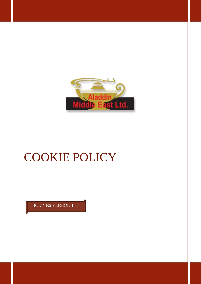

# **COOKIE POLICY**

IGDP\_N2 VERSION 1.00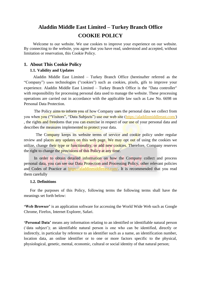# **Aladdin Middle East Limited – Turkey Branch Office COOKIE POLICY**

 Welcome to our website. We use cookies to improve your experience on our website. By connecting to the website, you agree that you have read, understood and accepted, without limitation or reservation, this Cookie Policy.

### **1. About This Cookie Policy**

#### **1.1. Validity and Updates**

 Aladdin Middle East Limited – Turkey Branch Office (hereinafter referred as the "Company") uses technologies ("cookies") such as cookies, pixels, gifs to improve your experience. Aladdin Middle East Limited – Turkey Branch Office is the "Data controller" with responsibility for processing personal data used to manage the website. These processing operations are carried out in accordance with the applicable law such as Law No. 6698 on Personal Data Protection.

The Policy aims to inform you of how Company uses the personal data we collect from you when you ("Visitors", "Data Subjects") use our web site [\(https://aladdinmiddleeast.com/\)](https://aladdinmiddleeast.com/) , the rights and freedoms that you can exercise in respect of our use of your personal data and describes the measures implemented to protect your data.

The Company keeps its website terms of service and cookie policy under regular review and places any updates on this web page. We may opt out of using the cookies we utilize, change their type or functionality, or add new cookies. Therefore, Company reserves the right to change the provisions of this Policy at any time.

In order to obtain detailed information on how the Company collect and process personal data, you can see our Data Protection and Processing Policy, other relevant policies and Codes of Practice at [https://aladdinmiddleeast.com/.](https://aladdinmiddleeast.com/) It is recommended that you read them carefully

#### **1.2. Definitions**

For the purposes of this Policy, following terms the following terms shall have the meanings set forth below:

**'Web Browser'** is an application software for accessing the World Wide Web such as Google Chrome, Firefox, Internet Explorer, Safari.

**'Personal Data'** means any information relating to an identified or identifiable natural person ('data subject'); an identifiable natural person is one who can be identified, directly or indirectly, in particular by reference to an identifier such as a name, an identification number, location data, an online identifier or to one or more factors specific to the physical, physiological, genetic, mental, economic, cultural or social identity of that natural person;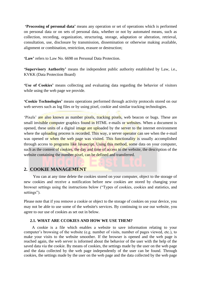**'Processing of personal data'** means any operation or set of operations which is performed on personal data or on sets of personal data, whether or not by automated means, such as collection, recording, organization, structuring, storage, adaptation or alteration, retrieval, consultation, use, disclosure by transmission, dissemination or otherwise making available, alignment or combination, restriction, erasure or destruction;

**'Law'** refers to Law No. 6698 on Personal Data Protection.

**'Supervisory Authority'** means the independent public authority established by Law, i.e., KVKK (Data Protection Board)

**'Use of Cookies'** means collecting and evaluating data regarding the behavior of visitors while using the web page we provide.

**'Cookie Technologies'** means operations performed through activity protocols stored on our web servers such as log files or by using pixel, cookie and similar tracking technologies.

'Pixels' are also known as number pixels, tracking pixels, web beacon or bugs. These are small invisible computer graphics found in HTML e-mails or websites. When a document is opened, these units of a digital image are uploaded by the server to the internet environment where the uploading process is recorded. This way, a server operator can see when the e-mail was opened or when the web page was visited. This functionality is usually accomplished through access to programs like Javascript. Using this method, some data on your computer, such as the content of cookies, the day and time of access to the website, the description of the website containing the number pixel, can be defined and transferred.

## **2. COOKIE MANAGEMENT**

 You can at any time delete the cookies stored on your computer, object to the storage of new cookies and receive a notification before new cookies are stored by changing your browser settings using the instructions below ("Types of cookies, cookies and statistics, and settings").

Please note that if you remove a cookie or object to the storage of cookies on your device, you may not be able to use some of the website's services. By continuing to use our website, you agree to our use of cookies as set out in below.

#### **2.1. WHAT ARE CCOKIES AND HOW WE USE THEM?**

 A cookie is a file which enables a website to save information relating to your computer's browsing of the website (e.g. number of visits, number of pages viewed, etc.), to make your visits to the website smoother. If the browser is opened and the web page is reached again, the web server is informed about the behavior of the user with the help of the saved data via the cookie. By means of cookies, the settings made by the user on the web page and the data collected by the web page independently of the user can be found. Through cookies, the settings made by the user on the web page and the data collected by the web page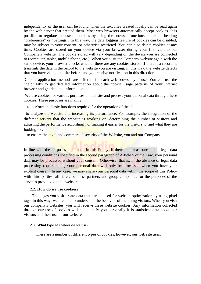independently of the user can be found. Then the text files created locally can be read again by the web server that created them. Most web browsers automatically accept cookies. It is possible to regulate the use of cookies by using the browser functions under the heading "preferences" or "Settings". In this way, the data logging feature of cookies can be disabled, may be subject to your consent, or otherwise restricted. You can also delete cookies at any time. Cookies are stored on your device via your browser during your first visit to our Company's website. The cookie stored will vary depending on the device you are connected to (computer, tablet, mobile phone, etc.). When you visit the Company website again with the same device, your browser checks whether there are any cookies stored. If there is a record, it transmits the data in the record to the website you are visiting. In this way, the website detects that you have visited the site before and you receive notification in this direction.

Cookie application methods are different for each web browser you use. You can use the "help" tabs to get detailed information about the cookie usage patterns of your internet browser and get detailed information.

We use cookies for various purposes on this site and process your personal data through these cookies. These purposes are mainly:

- to perform the basic functions required for the operation of the site.

–to analyze the website and increasing its performance. For example, the integration of the different servers that the website is working on, determining the number of visitors and adjusting the performance accordingly or making it easier for the visitors to find what they are looking for.

– to ensure the legal and commercial security of the Website, you and our Company.

In line with the purposes mentioned in this Policy, if there is at least one of the legal data processing conditions specified in the second paragraph of Article 5 of the Law, your personal data may be processed without your consent. Otherwise, that is, in the absence of legal data processing requirements, your personal data will only be processed when you have your explicit consent. In any case, we may share your personal data within the scope of this Policy with third parties, affiliates, business partners and group companies for the purposes of the services provided on this website.

#### **2.2. How do we use cookies?**

 The pages you visit create data that can be used for website optimization by using pixel tags. In this way, we are able to understand the behavior of incoming visitors. When you visit our company's websites, you will receive these website cookies. Any information collected through our use of cookies will not identify you personally it is statistical data about our visitors and their use of our website.

#### **2.3. What type of cookies do we use?**

There are a number of different types of cookies, however, our web site uses: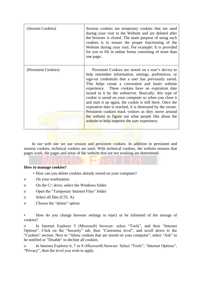| (Session Cookies)    | Session cookies are temporary cookies that are used<br>during your visit to the Website and are deleted after<br>the browser is closed. The main purpose of using such<br>cookies is to ensure the proper functioning of the<br>Website during your visit. For example; It is provided<br>for you to fill in online forms consisting of more than<br>one page                                                                                                                                                                                                                                                                                                                                 |
|----------------------|-----------------------------------------------------------------------------------------------------------------------------------------------------------------------------------------------------------------------------------------------------------------------------------------------------------------------------------------------------------------------------------------------------------------------------------------------------------------------------------------------------------------------------------------------------------------------------------------------------------------------------------------------------------------------------------------------|
| (Persistent Cookies) | Persistent Cookies are stored on a user's device to<br>help remember information, settings, preferences, or<br>sign-on credentials that a user has previously saved.<br>This helps create a convenient and faster website<br>experience. These cookies have an expiration date<br>issued to it by the webserver. Basically, this type of<br>cookie is saved on your computer so when you close it<br>and start it up again, the cookie is still there. Once the<br>expiration date is reached, it is destroyed by the owner.<br>Persistent cookies track visitors as they move around<br>the website to figure out what people like about the<br>website to help improve the user experience. |

 In our web site we use session and persistent cookies. In addition to persistent and session cookies, technical cookies are used. With technical cookies, the website ensures that pages work, the pages and areas of the website that are not working are determined.

#### **How to manage cookies?**

- How can you delete cookies already stored on your computer?
- o On your workstation
- o On the C:\ drive, select the Windows folder
- o Open the "Temporary Internet Files" folder
- o Select all files (CTL A)
- o Choose the "delete" option

• How do you change browser settings to reject or be informed of the storage of cookies?

o In Internet Explorer 5 (Microsoft) browser: select "Tools", and then "Internet Options". Click on the "Security" tab, then "Customise level", and scroll down to the "Cookies" section. Next to "Allow cookies that are stored on your computer", select "Ask" to be notified or "Disable" to decline all cookies.

o In Internet Explorer 6, 7 or 8 (Microsoft) browser: Select "Tools", "Internet Options", "Privacy", then the level you wish to apply.